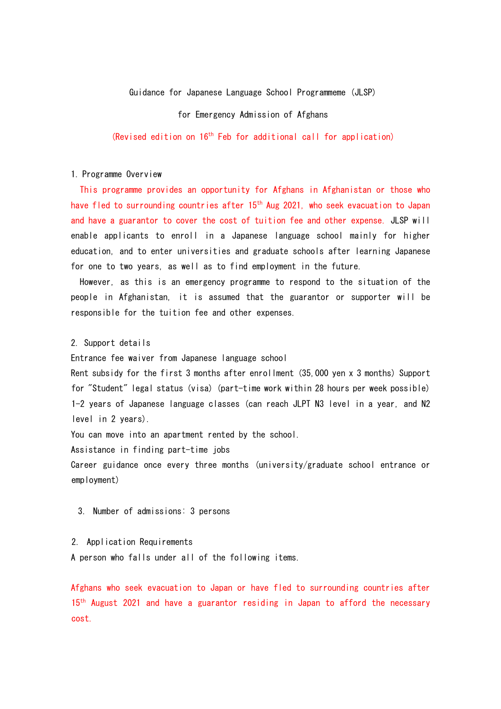### Guidance for Japanese Language School Programmeme (JLSP)

for Emergency Admission of Afghans

(Revised edition on 16th Feb for additional call for application)

#### 1. Programme Overview

This programme provides an opportunity for Afghans in Afghanistan or those who have fled to surrounding countries after 15<sup>th</sup> Aug 2021, who seek evacuation to Japan and have a guarantor to cover the cost of tuition fee and other expense. JLSP will enable applicants to enroll in a Japanese language school mainly for higher education, and to enter universities and graduate schools after learning Japanese for one to two years, as well as to find employment in the future.

However, as this is an emergency programme to respond to the situation of the people in Afghanistan, it is assumed that the guarantor or supporter will be responsible for the tuition fee and other expenses.

# 2. Support details

Entrance fee waiver from Japanese language school

Rent subsidy for the first 3 months after enrollment (35,000 yen x 3 months) Support for "Student" legal status (visa) (part-time work within 28 hours per week possible) 1-2 years of Japanese language classes (can reach JLPT N3 level in a year, and N2 level in 2 years).

You can move into an apartment rented by the school.

Assistance in finding part-time jobs

Career guidance once every three months (university/graduate school entrance or employment)

3. Number of admissions: 3 persons

### 2. Application Requirements

A person who falls under all of the following items.

Afghans who seek evacuation to Japan or have fled to surrounding countries after 15<sup>th</sup> August 2021 and have a guarantor residing in Japan to afford the necessary cost.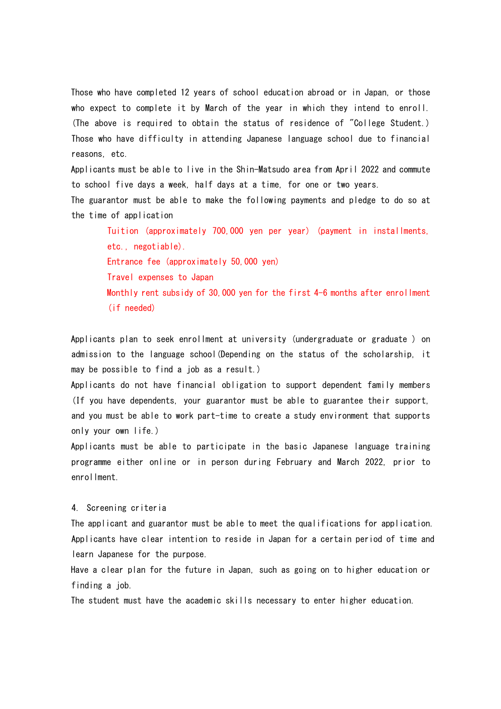Those who have completed 12 years of school education abroad or in Japan, or those who expect to complete it by March of the year in which they intend to enroll. (The above is required to obtain the status of residence of "College Student.) Those who have difficulty in attending Japanese language school due to financial reasons, etc.

Applicants must be able to live in the Shin-Matsudo area from April 2022 and commute to school five days a week, half days at a time, for one or two years.

The guarantor must be able to make the following payments and pledge to do so at the time of application

Tuition (approximately 700,000 yen per year) (payment in installments, etc., negotiable).

Entrance fee (approximately 50,000 yen)

Travel expenses to Japan

Monthly rent subsidy of 30,000 yen for the first 4-6 months after enrollment (if needed)

Applicants plan to seek enrollment at university (undergraduate or graduate ) on admission to the language school(Depending on the status of the scholarship, it may be possible to find a job as a result.)

Applicants do not have financial obligation to support dependent family members (If you have dependents, your guarantor must be able to guarantee their support, and you must be able to work part-time to create a study environment that supports only your own life.)

Applicants must be able to participate in the basic Japanese language training programme either online or in person during February and March 2022, prior to enrollment.

#### 4. Screening criteria

The applicant and guarantor must be able to meet the qualifications for application. Applicants have clear intention to reside in Japan for a certain period of time and learn Japanese for the purpose.

Have a clear plan for the future in Japan, such as going on to higher education or finding a job.

The student must have the academic skills necessary to enter higher education.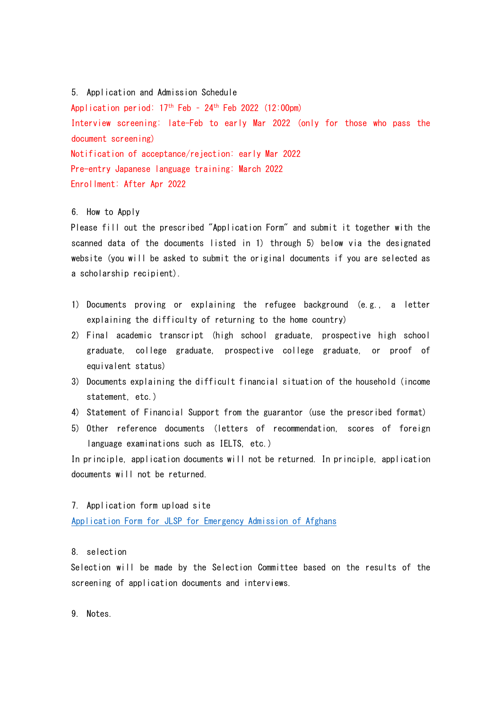5. Application and Admission Schedule

Application period:  $17<sup>th</sup>$  Feb - 24<sup>th</sup> Feb 2022 (12:00pm) Interview screening: late-Feb to early Mar 2022 (only for those who pass the document screening) Notification of acceptance/rejection: early Mar 2022 Pre-entry Japanese language training: March 2022 Enrollment: After Apr 2022

#### 6. How to Apply

Please fill out the prescribed "Application Form" and submit it together with the scanned data of the documents listed in 1) through 5) below via the designated website (you will be asked to submit the original documents if you are selected as a scholarship recipient).

- 1) Documents proving or explaining the refugee background (e.g., a letter explaining the difficulty of returning to the home country)
- 2) Final academic transcript (high school graduate, prospective high school graduate, college graduate, prospective college graduate, or proof of equivalent status)
- 3) Documents explaining the difficult financial situation of the household (income statement, etc.)
- 4) Statement of Financial Support from the guarantor (use the prescribed format)
- 5) Other reference documents (letters of recommendation, scores of foreign language examinations such as IELTS, etc.)

In principle, application documents will not be returned. In principle, application documents will not be returned.

#### 7. Application form upload site

Application Form for JLSP for Emergency Admission of Afghans

# 8. selection

Selection will be made by the Selection Committee based on the results of the screening of application documents and interviews.

9. Notes.